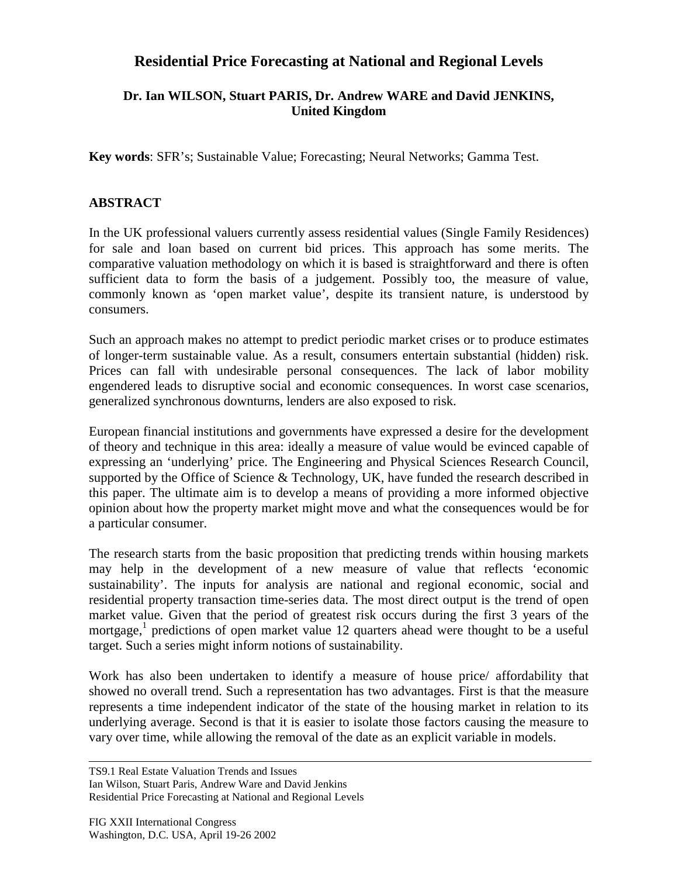## **Residential Price Forecasting at National and Regional Levels**

## **Dr. Ian WILSON, Stuart PARIS, Dr. Andrew WARE and David JENKINS, United Kingdom**

**Key words**: SFR's; Sustainable Value; Forecasting; Neural Networks; Gamma Test.

## **ABSTRACT**

In the UK professional valuers currently assess residential values (Single Family Residences) for sale and loan based on current bid prices. This approach has some merits. The comparative valuation methodology on which it is based is straightforward and there is often sufficient data to form the basis of a judgement. Possibly too, the measure of value, commonly known as 'open market value', despite its transient nature, is understood by consumers.

Such an approach makes no attempt to predict periodic market crises or to produce estimates of longer-term sustainable value. As a result, consumers entertain substantial (hidden) risk. Prices can fall with undesirable personal consequences. The lack of labor mobility engendered leads to disruptive social and economic consequences. In worst case scenarios, generalized synchronous downturns, lenders are also exposed to risk.

European financial institutions and governments have expressed a desire for the development of theory and technique in this area: ideally a measure of value would be evinced capable of expressing an 'underlying' price. The Engineering and Physical Sciences Research Council, supported by the Office of Science & Technology, UK, have funded the research described in this paper. The ultimate aim is to develop a means of providing a more informed objective opinion about how the property market might move and what the consequences would be for a particular consumer.

The research starts from the basic proposition that predicting trends within housing markets may help in the development of a new measure of value that reflects 'economic sustainability'. The inputs for analysis are national and regional economic, social and residential property transaction time-series data. The most direct output is the trend of open market value. Given that the period of greatest risk occurs during the first 3 years of the mortgage,<sup>1</sup> predictions of open market value 12 quarters ahead were thought to be a useful target. Such a series might inform notions of sustainability.

Work has also been undertaken to identify a measure of house price/ affordability that showed no overall trend. Such a representation has two advantages. First is that the measure represents a time independent indicator of the state of the housing market in relation to its underlying average. Second is that it is easier to isolate those factors causing the measure to vary over time, while allowing the removal of the date as an explicit variable in models.

TS9.1 Real Estate Valuation Trends and Issues Ian Wilson, Stuart Paris, Andrew Ware and David Jenkins Residential Price Forecasting at National and Regional Levels